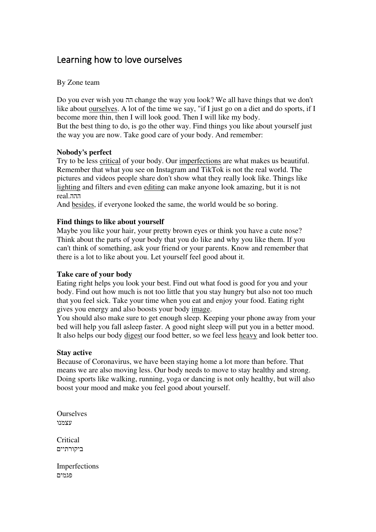# Learning how to love ourselves

#### By Zone team

Do you ever wish you הה change the way you look? We all have things that we don't like about ourselves. A lot of the time we say, "if I just go on a diet and do sports, if I become more thin, then I will look good. Then I will like my body . But the best thing to do, is go the other way. Find things you like about yourself just the way you are now. Take good care of your body. And remember:

## **Nobody's perfect**

Try to be less critical of your body. Our imperfections are what makes us beautiful. Remember that what you see on Instagram and TikTok is not the real world. The pictures and videos people share don't show what they really look like. Things like lighting and filters and even editing can make anyone look amazing, but it is not ההה .real

And besides, if everyone looked the same, the world would be so boring.

## **Find things to like about yourself**

Maybe you like your hair, your pretty brown eyes or think you have a cute nose? Think about the parts of your body that you do like and why you like them. If you can't think of something, ask your friend or your parents. Know and remember that there is a lot to like about you. Let yourself feel good about it.

#### **Take care of your body**

Eating right helps you look your best. Find out what food is good for you and your body. Find out how much is not too little that you stay hungry but also not too much that you feel sick. Take your time when you eat and enjoy your food. Eating right gives you energy and also boosts your body image.

You should also make sure to get enough sleep. Keeping your phone away from your bed will help you fall asleep faster. A good night sleep will put you in a better mood. It also helps our body digest our food better, so we feel less heavy and look better too.

## **Stay active**

Because of Coronavirus, we have been staying home a lot more than before. That means we are also moving less. Our body needs to move to stay healthy and strong. Doing sports like walking, running, yoga or dancing is not only healthy, but will also boost your mood and make you feel good about yourself.

**Ourselves** עצמנו

**Critical** ביקורתיים

Imperfections פגמים